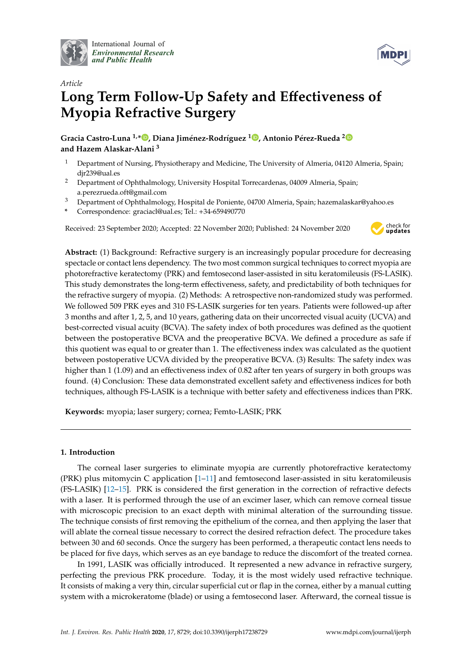

International Journal of *[Environmental Research](http://www.mdpi.com/journal/ijerph) and Public Health*



# *Article* **Long Term Follow-Up Safety and E**ff**ectiveness of Myopia Refractive Surgery**

**Gracia Castro-Luna 1,[\\*](https://orcid.org/0000-0001-6928-9728) , Diana Jiménez-Rodríguez [1](https://orcid.org/0000-0002-1169-0428) , Antonio Pérez-Rueda [2](https://orcid.org/0000-0003-2104-2907) and Hazem Alaskar-Alani <sup>3</sup>**

- <sup>1</sup> Department of Nursing, Physiotherapy and Medicine, The University of Almeria, 04120 Almeria, Spain; djr239@ual.es
- <sup>2</sup> Department of Ophthalmology, University Hospital Torrecardenas, 04009 Almeria, Spain; a.perezrueda.oft@gmail.com
- <sup>3</sup> Department of Ophthalmology, Hospital de Poniente, 04700 Almeria, Spain; hazemalaskar@yahoo.es
- **\*** Correspondence: graciacl@ual.es; Tel.: +34-659490770

Received: 23 September 2020; Accepted: 22 November 2020; Published: 24 November 2020



**Abstract:** (1) Background: Refractive surgery is an increasingly popular procedure for decreasing spectacle or contact lens dependency. The two most common surgical techniques to correct myopia are photorefractive keratectomy (PRK) and femtosecond laser-assisted in situ keratomileusis (FS-LASIK). This study demonstrates the long-term effectiveness, safety, and predictability of both techniques for the refractive surgery of myopia. (2) Methods: A retrospective non-randomized study was performed. We followed 509 PRK eyes and 310 FS-LASIK surgeries for ten years. Patients were followed-up after 3 months and after 1, 2, 5, and 10 years, gathering data on their uncorrected visual acuity (UCVA) and best-corrected visual acuity (BCVA). The safety index of both procedures was defined as the quotient between the postoperative BCVA and the preoperative BCVA. We defined a procedure as safe if this quotient was equal to or greater than 1. The effectiveness index was calculated as the quotient between postoperative UCVA divided by the preoperative BCVA. (3) Results: The safety index was higher than 1 (1.09) and an effectiveness index of 0.82 after ten years of surgery in both groups was found. (4) Conclusion: These data demonstrated excellent safety and effectiveness indices for both techniques, although FS-LASIK is a technique with better safety and effectiveness indices than PRK.

**Keywords:** myopia; laser surgery; cornea; Femto-LASIK; PRK

# **1. Introduction**

The corneal laser surgeries to eliminate myopia are currently photorefractive keratectomy (PRK) plus mitomycin C application  $[1-11]$  $[1-11]$  and femtosecond laser-assisted in situ keratomileusis (FS-LASIK) [\[12](#page-7-2)[–15\]](#page-7-3). PRK is considered the first generation in the correction of refractive defects with a laser. It is performed through the use of an excimer laser, which can remove corneal tissue with microscopic precision to an exact depth with minimal alteration of the surrounding tissue. The technique consists of first removing the epithelium of the cornea, and then applying the laser that will ablate the corneal tissue necessary to correct the desired refraction defect. The procedure takes between 30 and 60 seconds. Once the surgery has been performed, a therapeutic contact lens needs to be placed for five days, which serves as an eye bandage to reduce the discomfort of the treated cornea.

In 1991, LASIK was officially introduced. It represented a new advance in refractive surgery, perfecting the previous PRK procedure. Today, it is the most widely used refractive technique. It consists of making a very thin, circular superficial cut or flap in the cornea, either by a manual cutting system with a microkeratome (blade) or using a femtosecond laser. Afterward, the corneal tissue is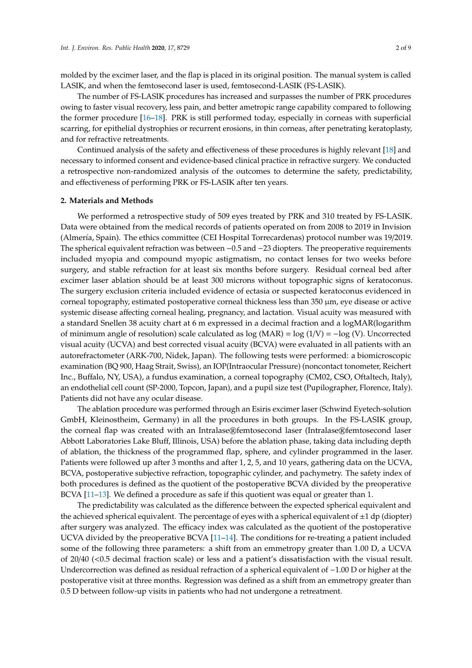molded by the excimer laser, and the flap is placed in its original position. The manual system is called LASIK, and when the femtosecond laser is used, femtosecond-LASIK (FS-LASIK).

The number of FS-LASIK procedures has increased and surpasses the number of PRK procedures owing to faster visual recovery, less pain, and better ametropic range capability compared to following the former procedure [\[16](#page-7-4)[–18\]](#page-7-5). PRK is still performed today, especially in corneas with superficial scarring, for epithelial dystrophies or recurrent erosions, in thin corneas, after penetrating keratoplasty, and for refractive retreatments.

Continued analysis of the safety and effectiveness of these procedures is highly relevant [\[18\]](#page-7-5) and necessary to informed consent and evidence-based clinical practice in refractive surgery. We conducted a retrospective non-randomized analysis of the outcomes to determine the safety, predictability, and effectiveness of performing PRK or FS-LASIK after ten years.

#### **2. Materials and Methods**

We performed a retrospective study of 509 eyes treated by PRK and 310 treated by FS-LASIK. Data were obtained from the medical records of patients operated on from 2008 to 2019 in Invision (Almería, Spain). The ethics committee (CEI Hospital Torrecardenas) protocol number was 19/2019. The spherical equivalent refraction was between −0.5 and −23 diopters. The preoperative requirements included myopia and compound myopic astigmatism, no contact lenses for two weeks before surgery, and stable refraction for at least six months before surgery. Residual corneal bed after excimer laser ablation should be at least 300 microns without topographic signs of keratoconus. The surgery exclusion criteria included evidence of ectasia or suspected keratoconus evidenced in corneal topography, estimated postoperative corneal thickness less than 350 µm, eye disease or active systemic disease affecting corneal healing, pregnancy, and lactation. Visual acuity was measured with a standard Snellen 38 acuity chart at 6 m expressed in a decimal fraction and a logMAR(logarithm of minimum angle of resolution) scale calculated as  $log (MAR) = log (1/V) = -log (V)$ . Uncorrected visual acuity (UCVA) and best corrected visual acuity (BCVA) were evaluated in all patients with an autorefractometer (ARK-700, Nidek, Japan). The following tests were performed: a biomicroscopic examination (BQ 900, Haag Strait, Swiss), an IOP(Intraocular Pressure) (noncontact tonometer, Reichert Inc., Buffalo, NY, USA), a fundus examination, a corneal topography (CM02, CSO, Oftaltech, Italy), an endothelial cell count (SP-2000, Topcon, Japan), and a pupil size test (Pupilographer, Florence, Italy). Patients did not have any ocular disease.

The ablation procedure was performed through an Esiris excimer laser (Schwind Eyetech-solution GmbH, Kleinostheim, Germany) in all the procedures in both groups. In the FS-LASIK group, the corneal flap was created with an Intralase®femtosecond laser (Intralase®femtosecond laser Abbott Laboratories Lake Bluff, Illinois, USA) before the ablation phase, taking data including depth of ablation, the thickness of the programmed flap, sphere, and cylinder programmed in the laser. Patients were followed up after 3 months and after 1, 2, 5, and 10 years, gathering data on the UCVA, BCVA, postoperative subjective refraction, topographic cylinder, and pachymetry. The safety index of both procedures is defined as the quotient of the postoperative BCVA divided by the preoperative BCVA [\[11](#page-7-1)[–13\]](#page-7-6). We defined a procedure as safe if this quotient was equal or greater than 1.

The predictability was calculated as the difference between the expected spherical equivalent and the achieved spherical equivalent. The percentage of eyes with a spherical equivalent of  $\pm 1$  dp (diopter) after surgery was analyzed. The efficacy index was calculated as the quotient of the postoperative UCVA divided by the preoperative BCVA [\[11](#page-7-1)[–14\]](#page-7-7). The conditions for re-treating a patient included some of the following three parameters: a shift from an emmetropy greater than 1.00 D, a UCVA of 20/40 (<0.5 decimal fraction scale) or less and a patient's dissatisfaction with the visual result. Undercorrection was defined as residual refraction of a spherical equivalent of −1.00 D or higher at the postoperative visit at three months. Regression was defined as a shift from an emmetropy greater than 0.5 D between follow-up visits in patients who had not undergone a retreatment.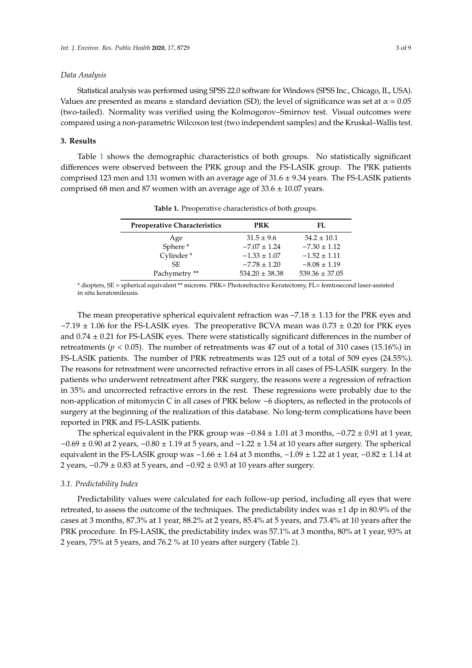#### *Data Analysis*

Statistical analysis was performed using SPSS 22.0 software for Windows (SPSS Inc., Chicago, IL, USA). Values are presented as means  $\pm$  standard deviation (SD); the level of significance was set at  $\alpha = 0.05$ (two-tailed). Normality was verified using the Kolmogorov–Smirnov test. Visual outcomes were compared using a non-parametric Wilcoxon test (two independent samples) and the Kruskal–Wallis test.

#### **3. Results**

<span id="page-2-0"></span>Table [1](#page-2-0) shows the demographic characteristics of both groups. No statistically significant differences were observed between the PRK group and the FS-LASIK group. The PRK patients comprised 123 men and 131 women with an average age of  $31.6 \pm 9.34$  years. The FS-LASIK patients comprised 68 men and 87 women with an average age of  $33.6 \pm 10.07$  years.

| <b>Preoperative Characteristics</b> | <b>PRK</b>         | FL.                |
|-------------------------------------|--------------------|--------------------|
| Age                                 | $31.5 \pm 9.6$     | $34.2 \pm 10.1$    |
| Sphere*                             | $-7.07 \pm 1.24$   | $-7.30 \pm 1.12$   |
| Cylinder*                           | $-1.33 \pm 1.07$   | $-1.52 \pm 1.11$   |
| SE.                                 | $-7.78 \pm 1.20$   | $-8.08 \pm 1.19$   |
| Pachymetry **                       | $534.20 \pm 38.38$ | $539.36 \pm 37.05$ |

**Table 1.** Preoperative characteristics of both groups.

\* diopters, SE = spherical equivalent \*\* microns. PRK= Photorefractive Keratectomy, FL= femtosecond laser-assisted in situ keratomileusis.

The mean preoperative spherical equivalent refraction was  $-7.18 \pm 1.13$  for the PRK eyes and  $-7.19 \pm 1.06$  for the FS-LASIK eyes. The preoperative BCVA mean was 0.73  $\pm$  0.20 for PRK eyes and  $0.74 \pm 0.21$  for FS-LASIK eyes. There were statistically significant differences in the number of retreatments ( $p < 0.05$ ). The number of retreatments was 47 out of a total of 310 cases (15.16%) in FS-LASIK patients. The number of PRK retreatments was 125 out of a total of 509 eyes (24.55%). The reasons for retreatment were uncorrected refractive errors in all cases of FS-LASIK surgery. In the patients who underwent retreatment after PRK surgery, the reasons were a regression of refraction in 35% and uncorrected refractive errors in the rest. These regressions were probably due to the non-application of mitomycin C in all cases of PRK below −6 diopters, as reflected in the protocols of surgery at the beginning of the realization of this database. No long-term complications have been reported in PRK and FS-LASIK patients.

The spherical equivalent in the PRK group was  $-0.84 \pm 1.01$  at 3 months,  $-0.72 \pm 0.91$  at 1 year, −0.69 ± 0.90 at 2 years, −0.80 ± 1.19 at 5 years, and −1.22 ± 1.54 at 10 years after surgery. The spherical equivalent in the FS-LASIK group was -1.66 ± 1.64 at 3 months, -1.09 ± 1.22 at 1 year, -0.82 ± 1.14 at 2 years, −0.79 ± 0.83 at 5 years, and −0.92 ± 0.93 at 10 years after surgery.

#### *3.1. Predictability Index*

Predictability values were calculated for each follow-up period, including all eyes that were retreated, to assess the outcome of the techniques. The predictability index was  $\pm 1$  dp in 80.9% of the cases at 3 months, 87.3% at 1 year, 88.2% at 2 years, 85.4% at 5 years, and 73.4% at 10 years after the PRK procedure. In FS-LASIK, the predictability index was 57.1% at 3 months, 80% at 1 year, 93% at 2 years, 75% at 5 years, and 76.2 % at 10 years after surgery (Table [2\)](#page-3-0).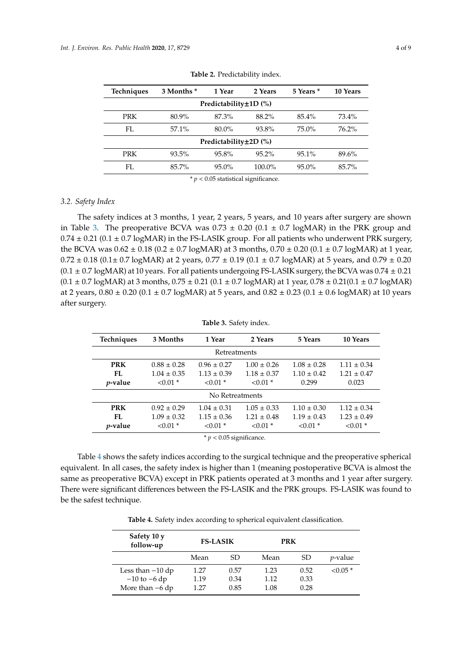<span id="page-3-0"></span>

| <b>Techniques</b> | 3 Months * | 1 Year                      | 2 Years  | 5 Years * | 10 Years |
|-------------------|------------|-----------------------------|----------|-----------|----------|
|                   |            | Predictability±1D (%)       |          |           |          |
| <b>PRK</b>        | 80.9%      | 87.3%                       | 88.2%    | 85.4%     | 73.4%    |
| FL.               | 57.1%      | 80.0%                       | 93.8%    | 75.0%     | 76.2%    |
|                   |            | Predictability $\pm 2D$ (%) |          |           |          |
| <b>PRK</b>        | $93.5\%$   | 95.8%                       | $95.2\%$ | $95.1\%$  | 89.6%    |
| FL.               | 85.7%      | $95.0\%$                    | 100.0%   | $95.0\%$  | 85.7%    |
|                   |            |                             |          |           |          |

**Table 2.** Predictability index.

 $* p < 0.05$  statistical significance.

#### *3.2. Safety Index*

The safety indices at 3 months, 1 year, 2 years, 5 years, and 10 years after surgery are shown in Table [3.](#page-3-1) The preoperative BCVA was  $0.73 \pm 0.20$  (0.1  $\pm$  0.7 logMAR) in the PRK group and  $0.74 \pm 0.21$  (0.1  $\pm$  0.7 logMAR) in the FS-LASIK group. For all patients who underwent PRK surgery, the BCVA was  $0.62 \pm 0.18$  (0.2  $\pm$  0.7 logMAR) at 3 months, 0.70  $\pm$  0.20 (0.1  $\pm$  0.7 logMAR) at 1 year,  $0.72 \pm 0.18$  (0.1 $\pm$  0.7 logMAR) at 2 years, 0.77  $\pm$  0.19 (0.1  $\pm$  0.7 logMAR) at 5 years, and 0.79  $\pm$  0.20  $(0.1 \pm 0.7 \text{ log} \text{MAR})$  at 10 years. For all patients undergoing FS-LASIK surgery, the BCVA was  $0.74 \pm 0.21$  $(0.1 \pm 0.7 \text{ log} \text{MAR})$  at 3 months,  $0.75 \pm 0.21 (0.1 \pm 0.7 \text{ log} \text{MAR})$  at 1 year,  $0.78 \pm 0.21 (0.1 \pm 0.7 \text{ log} \text{MAR})$ at 2 years, 0.80 ± 0.20 (0.1 ± 0.7 logMAR) at 5 years, and 0.82 ± 0.23 (0.1 ± 0.6 logMAR) at 10 years after surgery.

<span id="page-3-1"></span>

| Table 3. Safety index. |                 |                            |                 |                 |                 |
|------------------------|-----------------|----------------------------|-----------------|-----------------|-----------------|
| Techniques             | 3 Months        | 1 Year                     | 2 Years         | 5 Years         | 10 Years        |
|                        |                 | Retreatments               |                 |                 |                 |
| <b>PRK</b>             | $0.88 \pm 0.28$ | $0.96 \pm 0.27$            | $1.00 \pm 0.26$ | $1.08 \pm 0.28$ | $1.11 \pm 0.34$ |
| FL                     | $1.04 \pm 0.35$ | $1.13 \pm 0.39$            | $1.18 \pm 0.37$ | $1.10 \pm 0.42$ | $1.21 \pm 0.47$ |
| <i>v</i> -value        | $< 0.01$ *      | $< 0.01$ *                 | $< 0.01$ *      | 0.299           | 0.023           |
|                        |                 | No Retreatments            |                 |                 |                 |
| <b>PRK</b>             | $0.92 \pm 0.29$ | $1.04 \pm 0.31$            | $1.05 \pm 0.33$ | $1.10 \pm 0.30$ | $1.12 \pm 0.34$ |
| FI.                    | $1.09 \pm 0.32$ | $1.15 \pm 0.36$            | $1.21 \pm 0.48$ | $1.19 \pm 0.43$ | $1.23 \pm 0.49$ |
| $p$ -value             | $< 0.01$ *      | $< 0.01$ *                 | $< 0.01$ *      | $< 0.01$ *      | $< 0.01$ *      |
|                        |                 | $* p < 0.05$ significance. |                 |                 |                 |

Table [4](#page-4-0) shows the safety indices according to the surgical technique and the preoperative spherical equivalent. In all cases, the safety index is higher than 1 (meaning postoperative BCVA is almost the same as preoperative BCVA) except in PRK patients operated at 3 months and 1 year after surgery. There were significant differences between the FS-LASIK and the PRK groups. FS-LASIK was found to be the safest technique.

**Table 4.** Safety index according to spherical equivalent classification.

| Safety 10 y<br>follow-up               | <b>FS-LASIK</b> |              | <b>PRK</b>   |              |                 |
|----------------------------------------|-----------------|--------------|--------------|--------------|-----------------|
|                                        | Mean            | SD.          | Mean         | SD.          | <i>p</i> -value |
| Less than $-10 dp$<br>$-10$ to $-6$ dp | 1.27<br>1.19    | 0.57<br>0.34 | 1.23<br>1.12 | 0.52<br>0.33 | $< 0.05*$       |
| More than $-6 dp$                      | 1 27            | 0.85         | 1.08         | 0.28         |                 |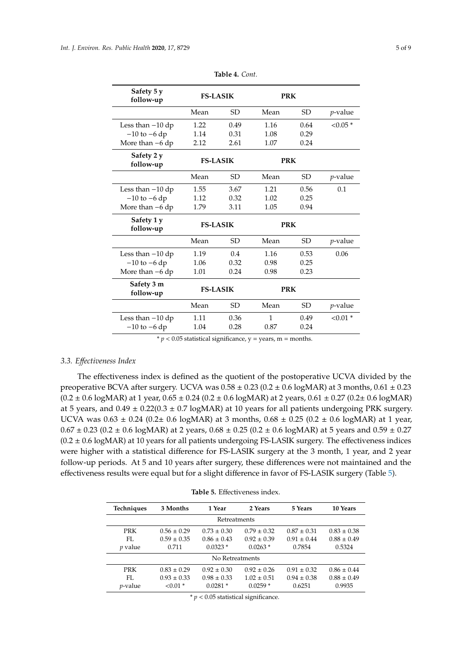<span id="page-4-0"></span>

| Safety 5 y<br>follow-up | <b>FS-LASIK</b>   |           | <b>PRK</b> |           |                 |
|-------------------------|-------------------|-----------|------------|-----------|-----------------|
|                         | Mean              | <b>SD</b> | Mean       | SD        | <i>p</i> -value |
| Less than $-10$ dp      | 1.22              | 0.49      | 1.16       | 0.64      | $< 0.05*$       |
| $-10$ to $-6$ dp        | 1.14              | 0.31      | 1.08       | 0.29      |                 |
| More than $-6 dp$       | 2.12              | 2.61      | 1.07       | 0.24      |                 |
| Safety 2 y<br>follow-up | <b>FS-LASIK</b>   |           | <b>PRK</b> |           |                 |
|                         | Mean<br><b>SD</b> |           | Mean       | <b>SD</b> | $p$ -value      |
| Less than $-10 dp$      | 1.55              | 3.67      | 1.21       | 0.56      | 0.1             |
| $-10$ to $-6$ dp        | 1.12              | 0.32      | 1.02       | 0.25      |                 |
| More than $-6 dp$       | 1.79              | 3.11      | 1.05       | 0.94      |                 |
| Safety 1 y<br>follow-up | <b>FS-LASIK</b>   |           | <b>PRK</b> |           |                 |
|                         | Mean              | <b>SD</b> | Mean       | <b>SD</b> | $p$ -value      |
| Less than $-10 dp$      | 1.19              | 0.4       | 1.16       | 0.53      | 0.06            |
| $-10$ to $-6$ dp        | 1.06              | 0.32      | 0.98       | 0.25      |                 |
| More than $-6 dp$       | 1.01              | 0.24      | 0.98       | 0.23      |                 |
| Safety 3 m<br>follow-up | <b>FS-LASIK</b>   |           | <b>PRK</b> |           |                 |
|                         | Mean              | <b>SD</b> | Mean       | SD        | $p$ -value      |
| Less than $-10 dp$      | 1.11              | 0.36      | 1          | 0.49      | $< 0.01$ *      |
| $-10$ to $-6$ dp        | 1.04              | 0.28      | 0.87       | 0.24      |                 |

**Table 4.** *Cont.*

 $* p < 0.05$  statistical significance,  $y = \text{years}$ ,  $m = \text{months}$ .

# *3.3. E*ff*ectiveness Index*

The effectiveness index is defined as the quotient of the postoperative UCVA divided by the preoperative BCVA after surgery. UCVA was  $0.58 \pm 0.23$  ( $0.2 \pm 0.6$  logMAR) at 3 months,  $0.61 \pm 0.23$  $(0.2 \pm 0.6 \text{ log} \text{MAR})$  at 1 year,  $0.65 \pm 0.24 (0.2 \pm 0.6 \text{ log} \text{MAR})$  at 2 years,  $0.61 \pm 0.27 (0.2 \pm 0.6 \text{ log} \text{MAR})$ at 5 years, and  $0.49 \pm 0.22(0.3 \pm 0.7 \text{ log} \text{MAR})$  at 10 years for all patients undergoing PRK surgery. UCVA was  $0.63 \pm 0.24$  (0.2 $\pm$  0.6 logMAR) at 3 months, 0.68  $\pm$  0.25 (0.2  $\pm$  0.6 logMAR) at 1 year,  $0.67 \pm 0.23$  (0.2  $\pm$  0.6 logMAR) at 2 years, 0.68  $\pm$  0.25 (0.2  $\pm$  0.6 logMAR) at 5 years and 0.59  $\pm$  0.27  $(0.2 \pm 0.6 \text{ log} \text{MAR})$  at 10 years for all patients undergoing FS-LASIK surgery. The effectiveness indices were higher with a statistical difference for FS-LASIK surgery at the 3 month, 1 year, and 2 year follow-up periods. At 5 and 10 years after surgery, these differences were not maintained and the effectiveness results were equal but for a slight difference in favor of FS-LASIK surgery (Table [5\)](#page-4-1).

<span id="page-4-1"></span>

| Techniques      | 3 Months        | 1 Year          | 2 Years         | 5 Years         | 10 Years        |
|-----------------|-----------------|-----------------|-----------------|-----------------|-----------------|
|                 |                 | Retreatments    |                 |                 |                 |
| PRK             | $0.56 \pm 0.29$ | $0.73 \pm 0.30$ | $0.79 \pm 0.32$ | $0.87 \pm 0.31$ | $0.83 \pm 0.38$ |
| FL.             | $0.59 \pm 0.35$ | $0.86 \pm 0.43$ | $0.92 \pm 0.39$ | $0.91 \pm 0.44$ | $0.88 \pm 0.49$ |
| <i>p</i> value  | 0.711           | $0.0323*$       | $0.0263*$       | 0.7854          | 0.5324          |
|                 |                 | No Retreatments |                 |                 |                 |
| PRK             | $0.83 \pm 0.29$ | $0.92 \pm 0.30$ | $0.92 \pm 0.26$ | $0.91 \pm 0.32$ | $0.86 \pm 0.44$ |
| FL.             | $0.93 \pm 0.33$ | $0.98 \pm 0.33$ | $1.02 \pm 0.51$ | $0.94 \pm 0.38$ | $0.88 \pm 0.49$ |
| <i>p</i> -value | $< 0.01$ *      | $0.0281*$       | $0.0259*$       | 0.6251          | 0.9935          |

\* *p* < 0.05 statistical significance.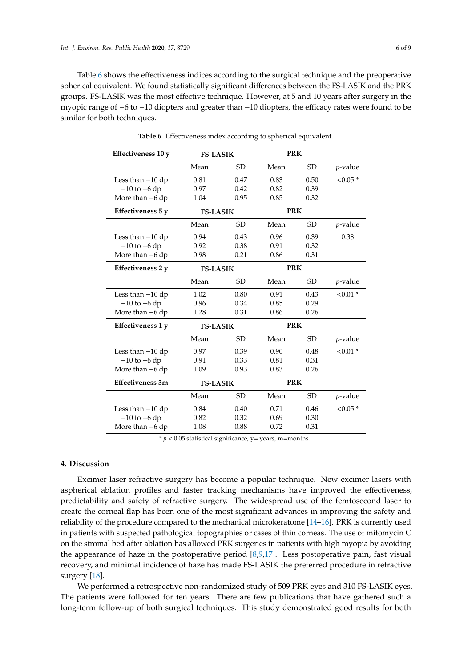Table [6](#page-5-0) shows the effectiveness indices according to the surgical technique and the preoperative spherical equivalent. We found statistically significant differences between the FS-LASIK and the PRK groups. FS-LASIK was the most effective technique. However, at 5 and 10 years after surgery in the myopic range of −6 to −10 diopters and greater than −10 diopters, the efficacy rates were found to be similar for both techniques.

<span id="page-5-0"></span>

| Effectiveness 10 y      | <b>FS-LASIK</b> |           | <b>PRK</b> |           |                 |
|-------------------------|-----------------|-----------|------------|-----------|-----------------|
|                         | Mean            | <b>SD</b> | Mean       | <b>SD</b> | $p$ -value      |
| Less than $-10$ dp      | 0.81            | 0.47      | 0.83       | 0.50      | $< 0.05*$       |
| $-10$ to $-6$ dp        | 0.97            | 0.42      | 0.82       | 0.39      |                 |
| More than $-6 dp$       | 1.04            | 0.95      | 0.85       | 0.32      |                 |
| Effectiveness 5 y       | <b>FS-LASIK</b> |           | <b>PRK</b> |           |                 |
|                         | Mean            | SD        | Mean       | <b>SD</b> | <i>p</i> -value |
| Less than $-10$ dp      | 0.94            | 0.43      | 0.96       | 0.39      | 0.38            |
| $-10$ to $-6$ dp        | 0.92            | 0.38      | 0.91       | 0.32      |                 |
| More than $-6$ dp       | 0.98            | 0.21      | 0.86       | 0.31      |                 |
| Effectiveness 2 y       | <b>FS-LASIK</b> |           | <b>PRK</b> |           |                 |
|                         | Mean            | SD        | Mean       | SD        | <i>p</i> -value |
| Less than $-10$ dp      | 1.02            | 0.80      | 0.91       | 0.43      | $< 0.01$ *      |
| $-10$ to $-6$ dp        | 0.96            | 0.34      | 0.85       | 0.29      |                 |
| More than $-6$ dp       | 1.28            | 0.31      | 0.86       | 0.26      |                 |
| Effectiveness 1 y       | <b>FS-LASIK</b> |           | <b>PRK</b> |           |                 |
|                         | Mean            | SD        | Mean       | <b>SD</b> | <i>p</i> -value |
| Less than $-10 dp$      | 0.97            | 0.39      | 0.90       | 0.48      | $< 0.01$ *      |
| $-10$ to $-6$ dp        | 0.91            | 0.33      | 0.81       | 0.31      |                 |
| More than $-6 dp$       | 1.09            | 0.93      | 0.83       | 0.26      |                 |
| <b>Effectiveness 3m</b> | <b>FS-LASIK</b> |           | <b>PRK</b> |           |                 |
|                         | Mean            | SD        | Mean       | <b>SD</b> | $p$ -value      |
| Less than $-10$ dp      | 0.84            | 0.40      | 0.71       | 0.46      | $< 0.05*$       |
| $-10$ to $-6$ dp        | 0.82            | 0.32      | 0.69       | 0.30      |                 |
| More than $-6$ dp       | 1.08            | 0.88      | 0.72       | 0.31      |                 |

**Table 6.** Effectiveness index according to spherical equivalent.

 $* p < 0.05$  statistical significance,  $y =$  years, m=months.

## **4. Discussion**

Excimer laser refractive surgery has become a popular technique. New excimer lasers with aspherical ablation profiles and faster tracking mechanisms have improved the effectiveness, predictability and safety of refractive surgery. The widespread use of the femtosecond laser to create the corneal flap has been one of the most significant advances in improving the safety and reliability of the procedure compared to the mechanical microkeratome [\[14](#page-7-7)[–16\]](#page-7-4). PRK is currently used in patients with suspected pathological topographies or cases of thin corneas. The use of mitomycin C on the stromal bed after ablation has allowed PRK surgeries in patients with high myopia by avoiding the appearance of haze in the postoperative period  $[8,9,17]$  $[8,9,17]$  $[8,9,17]$ . Less postoperative pain, fast visual recovery, and minimal incidence of haze has made FS-LASIK the preferred procedure in refractive surgery [\[18\]](#page-7-5).

We performed a retrospective non-randomized study of 509 PRK eyes and 310 FS-LASIK eyes. The patients were followed for ten years. There are few publications that have gathered such a long-term follow-up of both surgical techniques. This study demonstrated good results for both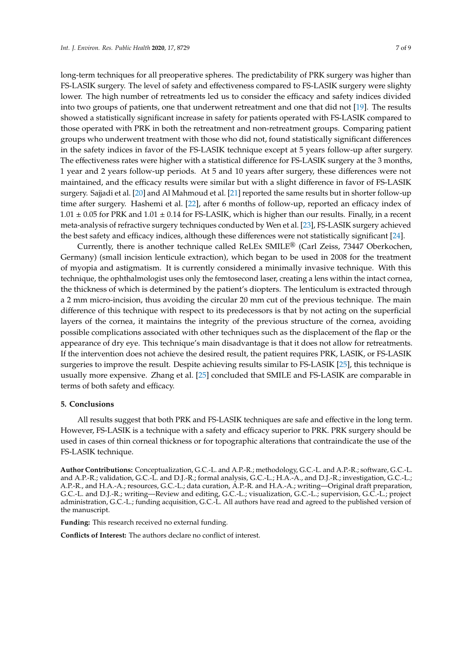long-term techniques for all preoperative spheres. The predictability of PRK surgery was higher than FS-LASIK surgery. The level of safety and effectiveness compared to FS-LASIK surgery were slighty lower. The high number of retreatments led us to consider the efficacy and safety indices divided into two groups of patients, one that underwent retreatment and one that did not [\[19\]](#page-7-11). The results showed a statistically significant increase in safety for patients operated with FS-LASIK compared to those operated with PRK in both the retreatment and non-retreatment groups. Comparing patient groups who underwent treatment with those who did not, found statistically significant differences in the safety indices in favor of the FS-LASIK technique except at 5 years follow-up after surgery. The effectiveness rates were higher with a statistical difference for FS-LASIK surgery at the 3 months, 1 year and 2 years follow-up periods. At 5 and 10 years after surgery, these differences were not maintained, and the efficacy results were similar but with a slight difference in favor of FS-LASIK surgery. Sajjadi et al. [\[20\]](#page-8-0) and Al Mahmoud et al. [\[21\]](#page-8-1) reported the same results but in shorter follow-up time after surgery. Hashemi et al. [\[22\]](#page-8-2), after 6 months of follow-up, reported an efficacy index of  $1.01 \pm 0.05$  for PRK and  $1.01 \pm 0.14$  for FS-LASIK, which is higher than our results. Finally, in a recent meta-analysis of refractive surgery techniques conducted by Wen et al. [\[23\]](#page-8-3), FS-LASIK surgery achieved the best safety and efficacy indices, although these differences were not statistically significant [\[24\]](#page-8-4).

Currently, there is another technique called ReLEx SMILE® (Carl Zeiss, 73447 Oberkochen, Germany) (small incision lenticule extraction), which began to be used in 2008 for the treatment of myopia and astigmatism. It is currently considered a minimally invasive technique. With this technique, the ophthalmologist uses only the femtosecond laser, creating a lens within the intact cornea, the thickness of which is determined by the patient's diopters. The lenticulum is extracted through a 2 mm micro-incision, thus avoiding the circular 20 mm cut of the previous technique. The main difference of this technique with respect to its predecessors is that by not acting on the superficial layers of the cornea, it maintains the integrity of the previous structure of the cornea, avoiding possible complications associated with other techniques such as the displacement of the flap or the appearance of dry eye. This technique's main disadvantage is that it does not allow for retreatments. If the intervention does not achieve the desired result, the patient requires PRK, LASIK, or FS-LASIK surgeries to improve the result. Despite achieving results similar to FS-LASIK [\[25\]](#page-8-5), this technique is usually more expensive. Zhang et al. [\[25\]](#page-8-5) concluded that SMILE and FS-LASIK are comparable in terms of both safety and efficacy.

### **5. Conclusions**

All results suggest that both PRK and FS-LASIK techniques are safe and effective in the long term. However, FS-LASIK is a technique with a safety and efficacy superior to PRK. PRK surgery should be used in cases of thin corneal thickness or for topographic alterations that contraindicate the use of the FS-LASIK technique.

**Author Contributions:** Conceptualization, G.C.-L. and A.P.-R.; methodology, G.C.-L. and A.P.-R.; software, G.C.-L. and A.P.-R.; validation, G.C.-L. and D.J.-R.; formal analysis, G.C.-L.; H.A.-A., and D.J.-R.; investigation, G.C.-L.; A.P.-R., and H.A.-A.; resources, G.C.-L.; data curation, A.P.-R. and H.A.-A.; writing—Original draft preparation, G.C.-L. and D.J.-R.; writing—Review and editing, G.C.-L.; visualization, G.C.-L.; supervision, G.C.-L.; project administration, G.C.-L.; funding acquisition, G.C.-L. All authors have read and agreed to the published version of the manuscript.

**Funding:** This research received no external funding.

**Conflicts of Interest:** The authors declare no conflict of interest.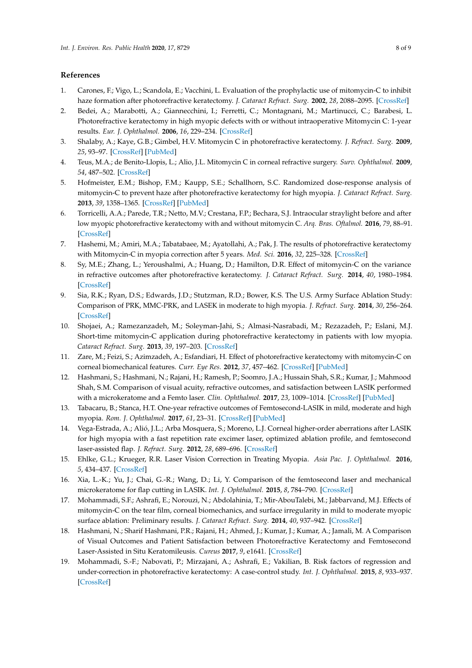#### **References**

- <span id="page-7-0"></span>1. Carones, F.; Vigo, L.; Scandola, E.; Vacchini, L. Evaluation of the prophylactic use of mitomycin-C to inhibit haze formation after photorefractive keratectomy. *J. Cataract Refract. Surg.* **2002**, *28*, 2088–2095. [\[CrossRef\]](http://dx.doi.org/10.1016/S0886-3350(02)01701-7)
- 2. Bedei, A.; Marabotti, A.; Giannecchini, I.; Ferretti, C.; Montagnani, M.; Martinucci, C.; Barabesi, L. Photorefractive keratectomy in high myopic defects with or without intraoperative Mitomycin C: 1-year results. *Eur. J. Ophthalmol.* **2006**, *16*, 229–234. [\[CrossRef\]](http://dx.doi.org/10.1177/112067210601600206)
- 3. Shalaby, A.; Kaye, G.B.; Gimbel, H.V. Mitomycin C in photorefractive keratectomy. *J. Refract. Surg.* **2009**, *25*, 93–97. [\[CrossRef\]](http://dx.doi.org/10.3928/1081597X-20090115-03) [\[PubMed\]](http://www.ncbi.nlm.nih.gov/pubmed/19248535)
- 4. Teus, M.A.; de Benito-Llopis, L.; Alio, J.L. Mitomycin C in corneal refractive surgery. *Surv. Ophthalmol.* **2009**, *54*, 487–502. [\[CrossRef\]](http://dx.doi.org/10.1016/j.survophthal.2009.04.002)
- 5. Hofmeister, E.M.; Bishop, F.M.; Kaupp, S.E.; Schallhorn, S.C. Randomized dose-response analysis of mitomycin-C to prevent haze after photorefractive keratectomy for high myopia. *J. Cataract Refract. Surg.* **2013**, *39*, 1358–1365. [\[CrossRef\]](http://dx.doi.org/10.1016/j.jcrs.2013.03.029) [\[PubMed\]](http://www.ncbi.nlm.nih.gov/pubmed/23830559)
- 6. Torricelli, A.A.; Parede, T.R.; Netto, M.V.; Crestana, F.P.; Bechara, S.J. Intraocular straylight before and after low myopic photorefractive keratectomy with and without mitomycin C. *Arq. Bras. Oftalmol.* **2016**, *79*, 88–91. [\[CrossRef\]](http://dx.doi.org/10.5935/0004-2749.20160027)
- 7. Hashemi, M.; Amiri, M.A.; Tabatabaee, M.; Ayatollahi, A.; Pak, J. The results of photorefractive keratectomy with Mitomycin-C in myopia correction after 5 years. *Med. Sci.* **2016**, *32*, 225–328. [\[CrossRef\]](http://dx.doi.org/10.12669/pjms.321.8576)
- <span id="page-7-8"></span>8. Sy, M.E.; Zhang, L.; Yeroushalmi, A.; Huang, D.; Hamilton, D.R. Effect of mitomycin-C on the variance in refractive outcomes after photorefractive keratectomy. *J. Cataract Refract. Surg.* **2014**, *40*, 1980–1984. [\[CrossRef\]](http://dx.doi.org/10.1016/j.jcrs.2014.02.048)
- <span id="page-7-9"></span>9. Sia, R.K.; Ryan, D.S.; Edwards, J.D.; Stutzman, R.D.; Bower, K.S. The U.S. Army Surface Ablation Study: Comparison of PRK, MMC-PRK, and LASEK in moderate to high myopia. *J. Refract. Surg.* **2014**, *30*, 256–264. [\[CrossRef\]](http://dx.doi.org/10.3928/1081597X-20140320-04)
- 10. Shojaei, A.; Ramezanzadeh, M.; Soleyman-Jahi, S.; Almasi-Nasrabadi, M.; Rezazadeh, P.; Eslani, M.J. Short-time mitomycin-C application during photorefractive keratectomy in patients with low myopia. *Cataract Refract. Surg.* **2013**, *39*, 197–203. [\[CrossRef\]](http://dx.doi.org/10.1016/j.jcrs.2012.09.016)
- <span id="page-7-1"></span>11. Zare, M.; Feizi, S.; Azimzadeh, A.; Esfandiari, H. Effect of photorefractive keratectomy with mitomycin-C on corneal biomechanical features. *Curr. Eye Res.* **2012**, *37*, 457–462. [\[CrossRef\]](http://dx.doi.org/10.3109/02713683.2012.660594) [\[PubMed\]](http://www.ncbi.nlm.nih.gov/pubmed/22577762)
- <span id="page-7-2"></span>12. Hashmani, S.; Hashmani, N.; Rajani, H.; Ramesh, P.; Soomro, J.A.; Hussain Shah, S.R.; Kumar, J.; Mahmood Shah, S.M. Comparison of visual acuity, refractive outcomes, and satisfaction between LASIK performed with a microkeratome and a Femto laser. *Clin. Ophthalmol.* **2017**, *23*, 1009–1014. [\[CrossRef\]](http://dx.doi.org/10.2147/OPTH.S137451) [\[PubMed\]](http://www.ncbi.nlm.nih.gov/pubmed/28579752)
- <span id="page-7-6"></span>13. Tabacaru, B.; Stanca, H.T. One-year refractive outcomes of Femtosecond-LASIK in mild, moderate and high myopia. *Rom. J. Ophthalmol.* **2017**, *61*, 23–31. [\[CrossRef\]](http://dx.doi.org/10.22336/rjo.2017.5) [\[PubMed\]](http://www.ncbi.nlm.nih.gov/pubmed/29450367)
- <span id="page-7-7"></span>14. Vega-Estrada, A.; Alió, J.L.; Arba Mosquera, S.; Moreno, L.J. Corneal higher-order aberrations after LASIK for high myopia with a fast repetition rate excimer laser, optimized ablation profile, and femtosecond laser-assisted flap. *J. Refract. Surg.* **2012**, *28*, 689–696. [\[CrossRef\]](http://dx.doi.org/10.3928/1081597X-20120921-03)
- <span id="page-7-3"></span>15. Ehlke, G.L.; Krueger, R.R. Laser Vision Correction in Treating Myopia. *Asia Pac. J. Ophthalmol.* **2016**, *5*, 434–437. [\[CrossRef\]](http://dx.doi.org/10.1097/APO.0000000000000237)
- <span id="page-7-4"></span>16. Xia, L.-K.; Yu, J.; Chai, G.-R.; Wang, D.; Li, Y. Comparison of the femtosecond laser and mechanical microkeratome for flap cutting in LASIK. *Int. J. Ophthalmol.* **2015**, *8*, 784–790. [\[CrossRef\]](http://dx.doi.org/10.3980/j.issn.2222-3959.2015.04.25)
- <span id="page-7-10"></span>17. Mohammadi, S.F.; Ashrafi, E.; Norouzi, N.; Abdolahinia, T.; Mir-AbouTalebi, M.; Jabbarvand, M.J. Effects of mitomycin-C on the tear film, corneal biomechanics, and surface irregularity in mild to moderate myopic surface ablation: Preliminary results. *J. Cataract Refract. Surg.* **2014**, *40*, 937–942. [\[CrossRef\]](http://dx.doi.org/10.1016/j.jcrs.2013.10.043)
- <span id="page-7-5"></span>18. Hashmani, N.; Sharif Hashmani, P.R.; Rajani, H.; Ahmed, J.; Kumar, J.; Kumar, A.; Jamali, M. A Comparison of Visual Outcomes and Patient Satisfaction between Photorefractive Keratectomy and Femtosecond Laser-Assisted in Situ Keratomileusis. *Cureus* **2017**, *9*, e1641. [\[CrossRef\]](http://dx.doi.org/10.7759/cureus.1641)
- <span id="page-7-11"></span>19. Mohammadi, S.-F.; Nabovati, P.; Mirzajani, A.; Ashrafi, E.; Vakilian, B. Risk factors of regression and under-correction in photorefractive keratectomy: A case-control study. *Int. J. Ophthalmol.* **2015**, *8*, 933–937. [\[CrossRef\]](http://dx.doi.org/10.3980/j.issn.2222-3959.2015.05.14)